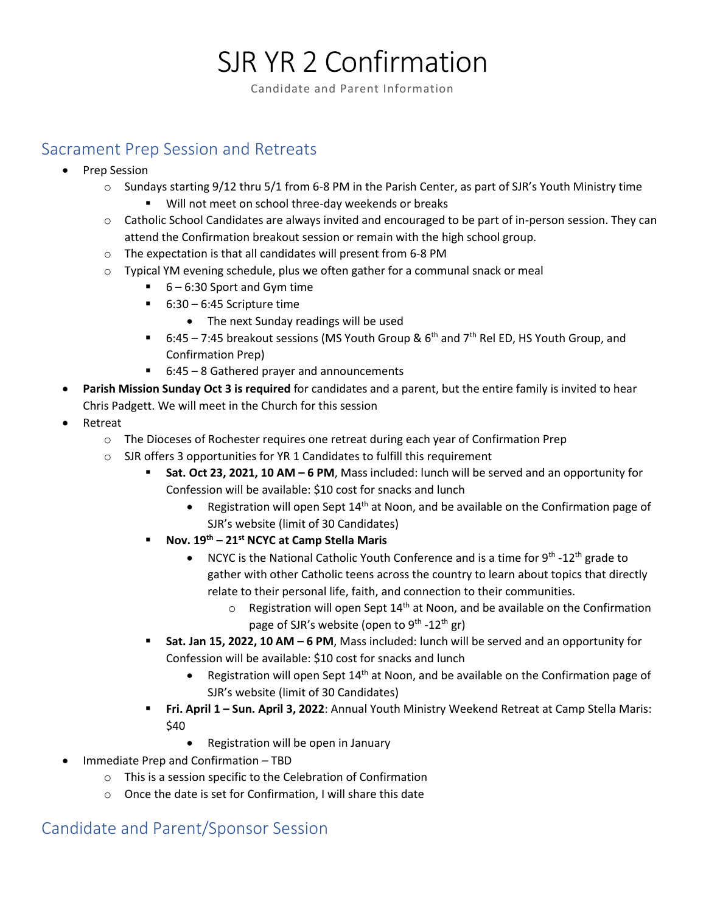# SJR YR 2 Confirmation

Candidate and Parent Information

## Sacrament Prep Session and Retreats

- Prep Session
	- $\circ$  Sundays starting 9/12 thru 5/1 from 6-8 PM in the Parish Center, as part of SJR's Youth Ministry time
		- Will not meet on school three-day weekends or breaks
	- o Catholic School Candidates are always invited and encouraged to be part of in-person session. They can attend the Confirmation breakout session or remain with the high school group.
	- o The expectation is that all candidates will present from 6-8 PM
	- $\circ$  Typical YM evening schedule, plus we often gather for a communal snack or meal
		- $\blacksquare$  6 6:30 Sport and Gym time
		- $\blacksquare$  6:30 6:45 Scripture time
			- The next Sunday readings will be used
		- 6:45 7:45 breakout sessions (MS Youth Group &  $6<sup>th</sup>$  and  $7<sup>th</sup>$  Rel ED, HS Youth Group, and Confirmation Prep)
		- 6:45 8 Gathered prayer and announcements
- **Parish Mission Sunday Oct 3 is required** for candidates and a parent, but the entire family is invited to hear Chris Padgett. We will meet in the Church for this session
- **Retreat** 
	- o The Dioceses of Rochester requires one retreat during each year of Confirmation Prep
	- o SJR offers 3 opportunities for YR 1 Candidates to fulfill this requirement
		- **Sat. Oct 23, 2021, 10 AM – 6 PM**, Mass included: lunch will be served and an opportunity for Confession will be available: \$10 cost for snacks and lunch
			- Registration will open Sept  $14<sup>th</sup>$  at Noon, and be available on the Confirmation page of SJR's website (limit of 30 Candidates)
		- **Nov. 19th – 21st NCYC at Camp Stella Maris**
			- NCYC is the National Catholic Youth Conference and is a time for  $9^{th}$  -12<sup>th</sup> grade to gather with other Catholic teens across the country to learn about topics that directly relate to their personal life, faith, and connection to their communities.
				- $\circ$  Registration will open Sept 14<sup>th</sup> at Noon, and be available on the Confirmation page of SJR's website (open to 9<sup>th</sup> -12<sup>th</sup> gr)
		- Sat. Jan 15, 2022, 10 AM − 6 PM, Mass included: lunch will be served and an opportunity for Confession will be available: \$10 cost for snacks and lunch
			- Registration will open Sept 14<sup>th</sup> at Noon, and be available on the Confirmation page of SJR's website (limit of 30 Candidates)
		- **Fri. April 1 – Sun. April 3, 2022**: Annual Youth Ministry Weekend Retreat at Camp Stella Maris: \$40
			- Registration will be open in January
- Immediate Prep and Confirmation TBD
	- o This is a session specific to the Celebration of Confirmation
	- o Once the date is set for Confirmation, I will share this date

## Candidate and Parent/Sponsor Session